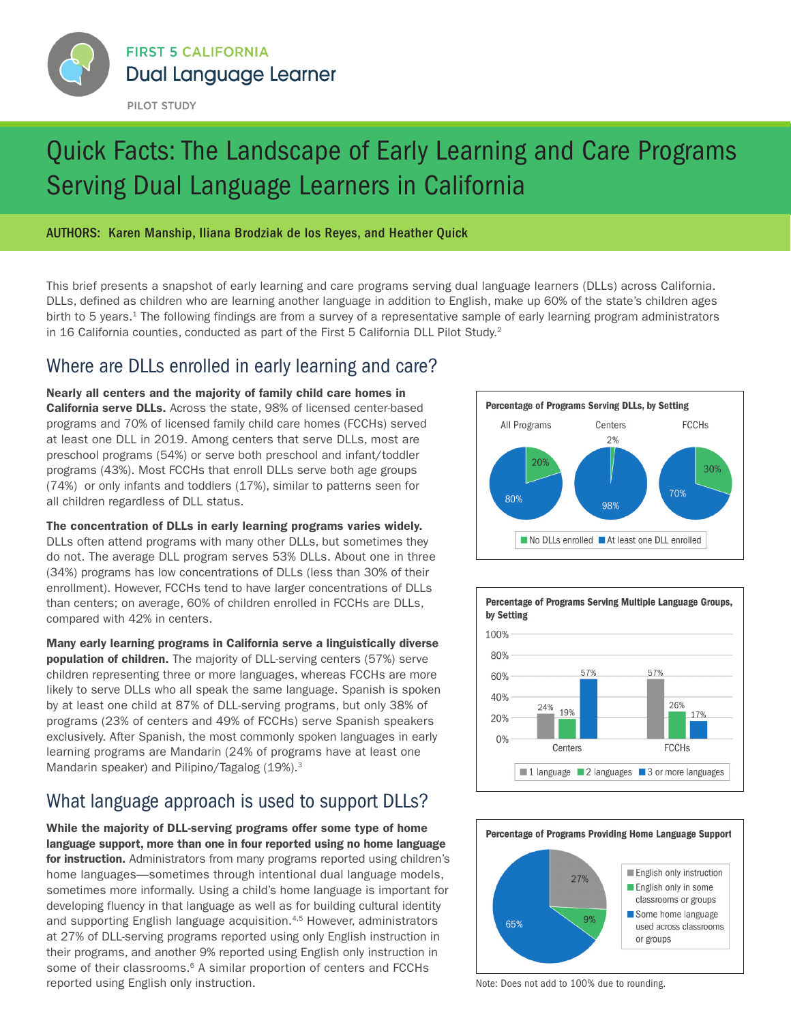<span id="page-0-0"></span>

### PILOT STUDY

# Quick Facts: The Landscape of Early Learning and Care Programs Serving Dual Language Learners in California

### AUTHORS: Karen Manship, Iliana Brodziak de los Reyes, and Heather Quick

This brief presents a snapshot of early learning and care programs serving dual language learners (DLLs) across California. DLLs, defined as children who are learning another language in addition to English, make up 60% of the state's children ages birth to 5 years.<sup>[1](#page-1-0)</sup> The following findings are from a survey of a representative sample of early learning program administrators in 16 California counties, conducted as part of the First 5 California DLL Pilot Study.<sup>2</sup>

# Where are DLLs enrolled in early learning and care?

Nearly all centers and the majority of family child care homes in California serve DLLs. Across the state, 98% of licensed center-based programs and 70% of licensed family child care homes (FCCHs) served at least one DLL in 2019. Among centers that serve DLLs, most are preschool programs (54%) or serve both preschool and infant/toddler programs (43%). Most FCCHs that enroll DLLs serve both age groups (74%) or only infants and toddlers (17%), similar to patterns seen for all children regardless of DLL status.

#### The concentration of DLLs in early learning programs varies widely.

DLLs often attend programs with many other DLLs, but sometimes they do not. The average DLL program serves 53% DLLs. About one in three (34%) programs has low concentrations of DLLs (less than 30% of their enrollment). However, FCCHs tend to have larger concentrations of DLLs than centers; on average, 60% of children enrolled in FCCHs are DLLs, compared with 42% in centers.

### Many early learning programs in California serve a linguistically diverse population of children. The majority of DLL-serving centers (57%) serve children representing three or more languages, whereas FCCHs are more likely to serve DLLs who all speak the same language. Spanish is spoken by at least one child at 87% of DLL-serving programs, but only 38% of programs (23% of centers and 49% of FCCHs) serve Spanish speakers exclusively. After Spanish, the most commonly spoken languages in early learning programs are Mandarin (24% of programs have at least one

# What language approach is used to support DLLs?

Mandarin speaker) and Pilipino/Tagalog (19%).[3](#page-1-0)

While the majority of DLL-serving programs offer some type of home language support, more than one in four reported using no home language for instruction. Administrators from many programs reported using children's home languages—sometimes through intentional dual language models, sometimes more informally. Using a child's home language is important for developing fluency in that language as well as for building cultural identity and supporting English language acquisition[.4,5](#page-1-0) However, administrators at 27% of DLL-serving programs reported using only English instruction in their programs, and another 9% reported using English only instruction in some of their classrooms.<sup>6</sup> A similar proportion of centers and FCCHs reported using English only instruction. Note: Does not add to 100% due to rounding.